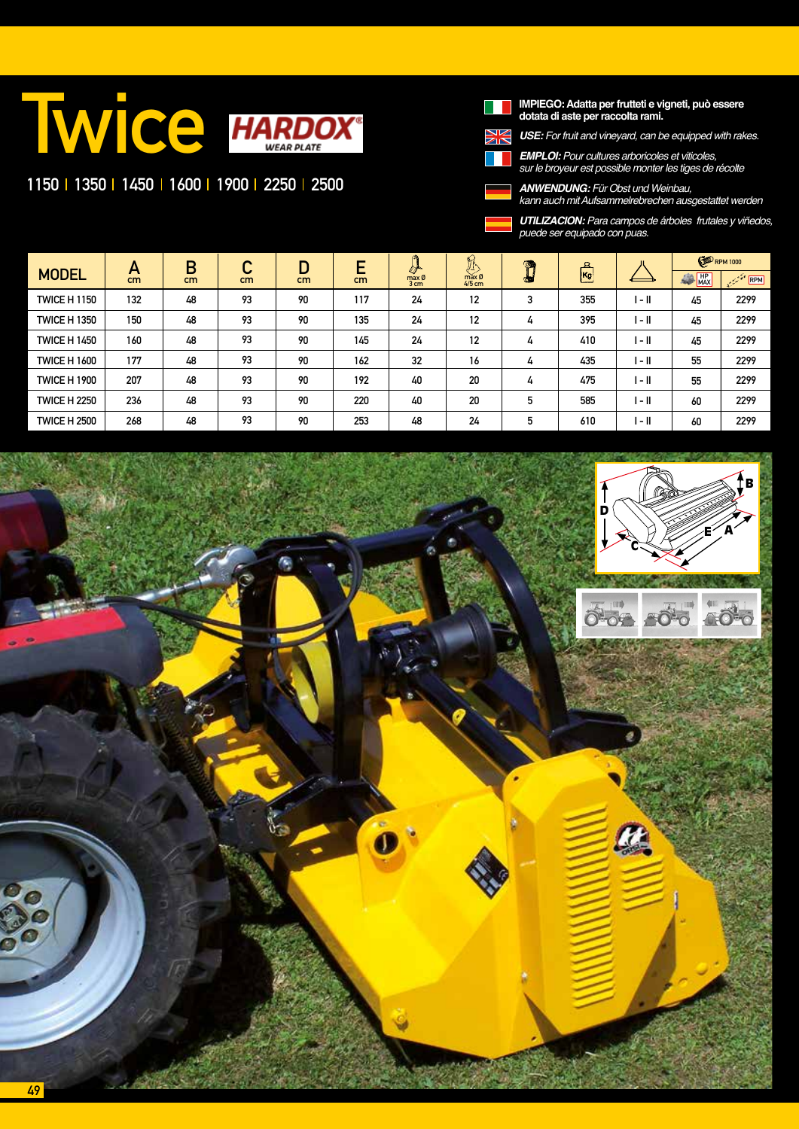## **TWICE HARDOX**®

## 1150 | 1350 | 1450 | 1600 | 1900 | 2250 | 2500



## **IMPIEGO: Adatta per frutteti e vigneti, può essere dotata di aste per raccolta rami.**

*USE:* For fruit and vineyard, can be equipped with rakes.

*EMPLOI: Pour cultures arboricoles et viticoles, sur le broyeur est possible monter les tiges de récolte*

*ANWENDUNG:* Für Obst und Weinbau, kann auch mit Aufsammelrebrechen ausgestattet werden

*UTILIZACION: Para campos de árboles frutales y viñedos, puede ser equipado con puas.* 

| <b>MODEL</b>        | $\mathbf{H}$<br>cm | B<br>cm | ◠<br>U<br>cm | D<br>cm | ┍<br>►<br>cm | ര<br><b>LT</b><br>max Ø<br>3 <sub>cm</sub> | $\mathbb{R}$<br>max Ø<br>$4/5$ cm | O<br>C. | 요<br>Kg |        | <b>ED</b> RPM 1000  |      |
|---------------------|--------------------|---------|--------------|---------|--------------|--------------------------------------------|-----------------------------------|---------|---------|--------|---------------------|------|
|                     |                    |         |              |         |              |                                            |                                   |         |         |        | $MP$ <sub>MAX</sub> | RPM  |
| <b>TWICE H 1150</b> | 132                | 48      | 93           | 90      | 117          | 24                                         | 12                                | 3       | 355     | l - II | 45                  | 2299 |
| <b>TWICE H 1350</b> | 150                | 48      | 93           | 90      | 135          | 24                                         | 12                                | 4       | 395     | l - II | 45                  | 2299 |
| <b>TWICE H 1450</b> | 160                | 48      | 93           | 90      | 145          | 24                                         | 12                                | 4       | 410     | l - II | 45                  | 2299 |
| <b>TWICE H 1600</b> | 177                | 48      | 93           | 90      | 162          | 32                                         | 16                                | 4       | 435     | I - II | 55                  | 2299 |
| <b>TWICE H 1900</b> | 207                | 48      | 93           | 90      | 192          | 40                                         | 20                                | 4       | 475     | l - II | 55                  | 2299 |
| <b>TWICE H 2250</b> | 236                | 48      | 93           | 90      | 220          | 40                                         | 20                                | 5       | 585     | l - II | 60                  | 2299 |
| <b>TWICE H 2500</b> | 268                | 48      | 93           | 90      | 253          | 48                                         | 24                                | 5       | 610     | l - II | 60                  | 2299 |